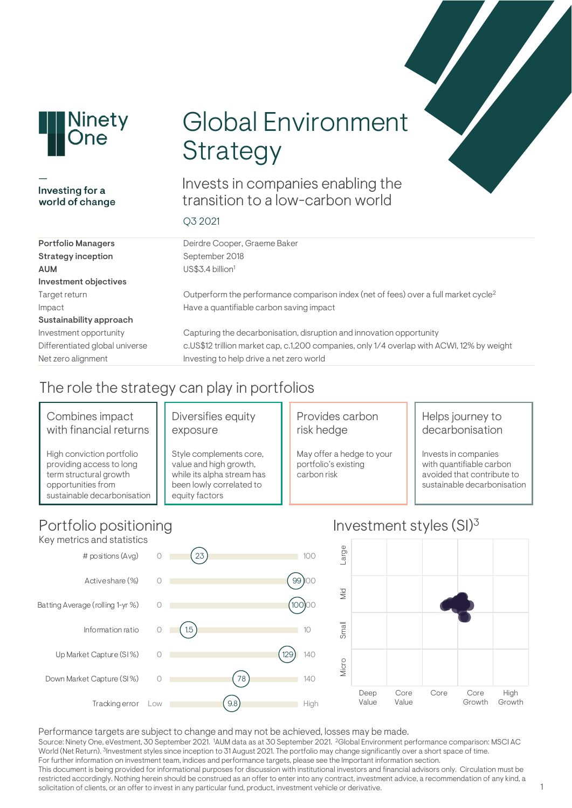

### Investing for a world of change

# Global Environment **Strategy**

Invests in companies enabling the transition to a low-carbon world

### Q3 2021

| <b>Portfolio Managers</b>      | Deirdre Cooper, Graeme Baker                                                                    |
|--------------------------------|-------------------------------------------------------------------------------------------------|
| <b>Strategy inception</b>      | September 2018                                                                                  |
| <b>AUM</b>                     | US\$3.4 billion <sup>1</sup>                                                                    |
| Investment objectives          |                                                                                                 |
| Target return                  | Outperform the performance comparison index (net of fees) over a full market cycle <sup>2</sup> |
| Impact                         | Have a quantifiable carbon saving impact                                                        |
| Sustainability approach        |                                                                                                 |
| Investment opportunity         | Capturing the decarbonisation, disruption and innovation opportunity                            |
| Differentiated global universe | c.US\$12 trillion market cap, c.1,200 companies, only 1/4 overlap with ACWI, 12% by weight      |
| Net zero alignment             | Investing to help drive a net zero world                                                        |
|                                |                                                                                                 |

# The role the strategy can play in portfolios

### Combines impact with financial returns

High conviction portfolio providing access to long term structural growth opportunities from sustainable decarbonisation

### Diversifies equity exposure

Style complements core, value and high growth, while its alpha stream has been lowly correlated to equity factors

### Provides carbon risk hedge

May offer a hedge to your portfolio's existing carbon risk

### Helps journey to decarbonisation

Invests in companies with quantifiable carbon avoided that contribute to sustainable decarbonisation

Growth

High Growth

# Portfolio positioning



#### Performance targets are subject to change and may not be achieved, losses may be made. Source: Ninety One, eVestment, 30 September 2021. <sup>1</sup>AUM data as at 30 September 2021. <sup>2</sup>Global Environment performance comparison: MSCI AC World (Net Return). <sup>3</sup>Investment styles since inception to 31 August 2021. The portfolio may change significantly over a short space of time. For further information on investment team, indices and performance targets, please see the Important information section. This document is being provided for informational purposes for discussion with institutional investors and financial advisors only. Circulation must be restricted accordingly. Nothing herein should be construed as an offer to enter into any contract, investment advice, a recommendation of any kind, a solicitation of clients, or an offer to invest in any particular fund, product, investment vehicle or derivative.

# Investment styles (SI)3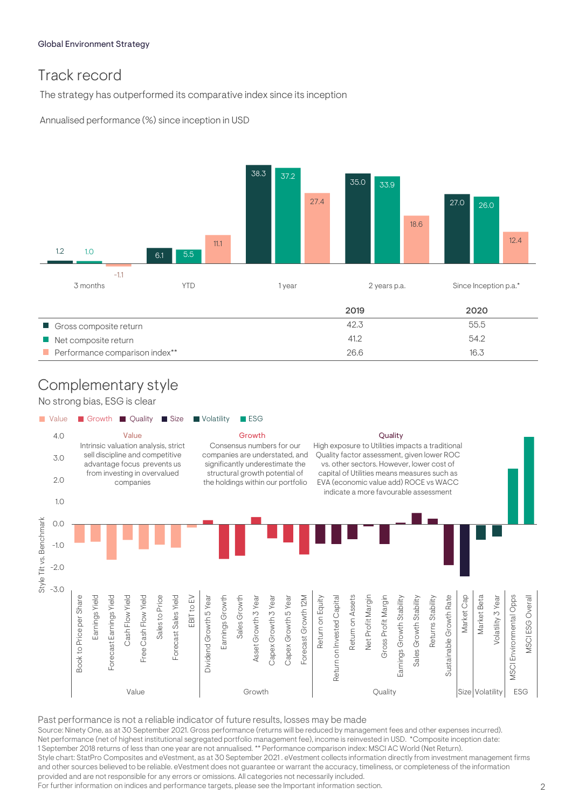# Track record

The strategy has outperformed its comparative index since its inception

Annualised performance (%) since inception in USD



Performance comparison index\*\* 16.3

# Complementary style

No strong bias, ESG is clear



Past performance is not a reliable indicator of future results, losses may be made

Source: Ninety One, as at 30 September 2021. Gross performance (returns will be reduced by management fees and other expenses incurred). Net performance (net of highest institutional segregated portfolio management fee), income is reinvested in USD. \*Composite inception date: 1 September 2018 returns of less than one year are not annualised. \*\* Performance comparison index: MSCI AC World (Net Return). Style chart: StatPro Composites and eVestment, as at 30 September 2021 . eVestment collects information directly from investment management firms and other sources believed to be reliable. eVestment does not guarantee or warrant the accuracy, timeliness, or completeness of the information provided and are not responsible for any errors or omissions. All categories not necessarily included. For further information on indices and performance targets, please see the Important information section.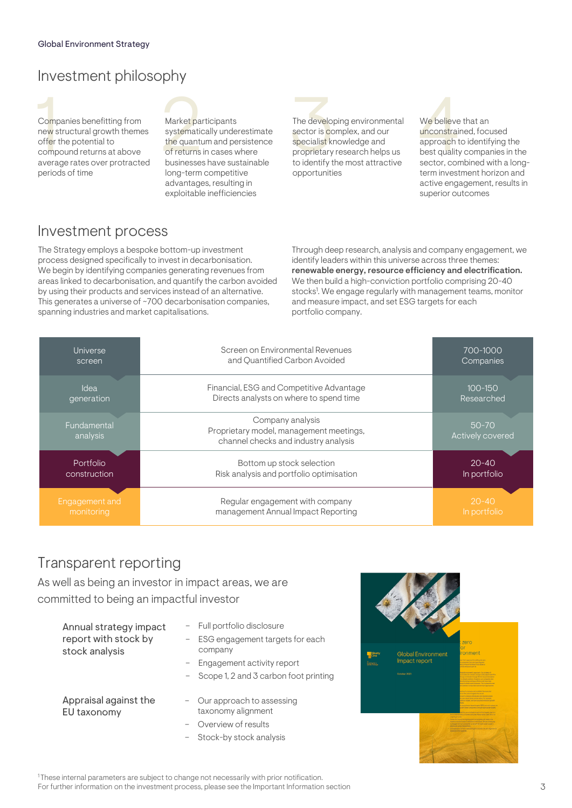## Investment philosophy



Companies benefitting from Market participants<br>
new structural growth themes systematically underestimate<br>
offer the potential to the quantum and persistence<br>
compound returns at above of returns in cases where<br>
average ra Companies benefitting from new structural growth themes offer the potential to compound returns at above average rates over protracted periods of time

# Market participants

systematically underestimate the quantum and persistence of returns in cases where businesses have sustainable long-term competitive advantages, resulting in exploitable inefficiencies



The developing environmental sector is complex, and our specialist knowledge and proprietary research helps us to identify the most attractive opportunities

We believe that an unconstrained, focused approach to identifying the best quality companies in the sector, combined with a longterm investment horizon and active engagement, results in superior outcomes

### Investment process

The Strategy employs a bespoke bottom-up investment process designed specifically to invest in decarbonisation. We begin by identifying companies generating revenues from areas linked to decarbonisation, and quantify the carbon avoided by using their products and services instead of an alternative. This generates a universe of ~700 decarbonisation companies. spanning industries and market capitalisations.

Through deep research, analysis and company engagement, we identify leaders within this universe across three themes: renewable energy, resource efficiency and electrification. We then build a high-conviction portfolio comprising 20-40 stocks<sup>1</sup>. We engage regularly with management teams, monitor and measure impact, and set ESG targets for each portfolio company.

| Universe                | Screen on Environmental Revenues                                                                    | 700-1000                      |
|-------------------------|-----------------------------------------------------------------------------------------------------|-------------------------------|
| screen                  | and Quantified Carbon Avoided                                                                       | Companies                     |
| Idea                    | Financial, ESG and Competitive Advantage                                                            | $100 - 150$                   |
| generation              | Directs analysts on where to spend time                                                             | Researched                    |
| Fundamental<br>analysis | Company analysis<br>Proprietary model, management meetings,<br>channel checks and industry analysis | $50 - 70$<br>Actively covered |
| Portfolio               | Bottom up stock selection                                                                           | $20 - 40$                     |
| construction            | Risk analysis and portfolio optimisation                                                            | In portfolio                  |
| Engagement and          | Regular engagement with company                                                                     | $20 - 40$                     |
| monitoring              | management Annual Impact Reporting                                                                  | In portfolio                  |

### Transparent reporting

As well as being an investor in impact areas, we are committed to being an impactful investor

| Annual strategy impact<br>report with stock by<br>stock analysis | - Full portfolio disclosure<br>- ESG engagement targets for each<br>company<br>- Engagement activity report<br>- Scope 1, 2 and 3 carbon foot printing |
|------------------------------------------------------------------|--------------------------------------------------------------------------------------------------------------------------------------------------------|
| Appraisal against the<br>EU taxonomy                             | - Our approach to assessing<br>taxonomy alignment<br>Overview of results                                                                               |

– Stock-by stock analysis

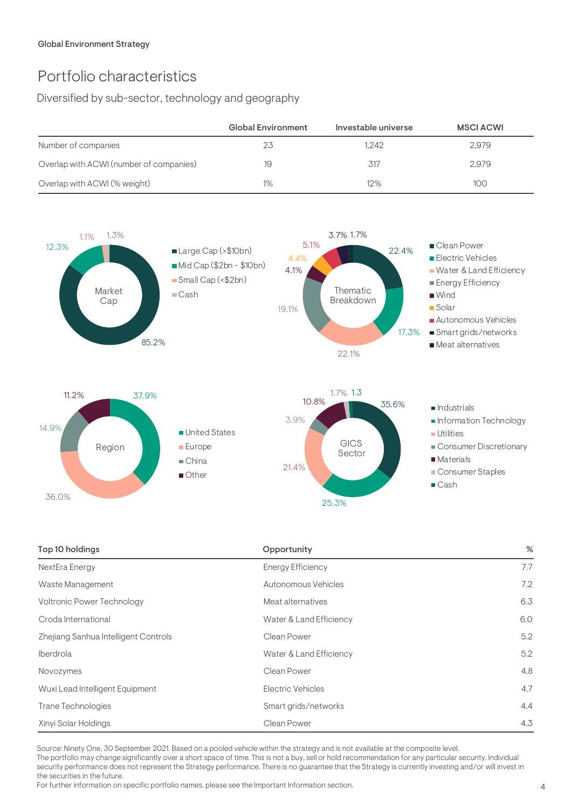# Portfolio characteristics

Diversified by sub-sector, technology and geography

|                                         | Global Environment | Investable universe | <b>MSCI ACWI</b> |
|-----------------------------------------|--------------------|---------------------|------------------|
| Number of companies                     | 23                 | 1.242               | 2.979            |
| Overlap with ACWI (number of companies) | 19                 | 317                 | 2.979            |
| Overlap with ACWI (% weight)            | 1%                 | 12%                 | 100              |



| Top 10 holdings                      | Opportunity              | %   |
|--------------------------------------|--------------------------|-----|
| NextEra Energy                       | <b>Energy Efficiency</b> | 7.7 |
| Waste Management                     | Autonomous Vehicles      | 7.2 |
| Voltronic Power Technology           | Meat alternatives        | 6.3 |
| Croda International                  | Water & Land Efficiency  | 6.0 |
| Zhejiang Sanhua Intelligent Controls | Clean Power              | 5.2 |
| Iberdrola                            | Water & Land Efficiency  | 5.2 |
| Novozymes                            | Clean Power              | 4.8 |
| Wuxi Lead Intelligent Equipment      | <b>Electric Vehicles</b> | 4.7 |
| Trane Technologies                   | Smart grids/networks     | 4.4 |
| Xinyi Solar Holdings                 | Clean Power              | 4.3 |

Source: Ninety One, 30 September 2021. Based on a pooled vehicle within the strategy and is not available at the composite level.

The portfolio may change significantly over a short space of time. This is not a buy, sell or hold recommendation for any particular security. Individual security performance does not represent the Strategy performance. There is no guarantee that the Strategy is currently investing and/or will invest in the securities in the future.

For further information on specific portfolio names, please see the Important Information section.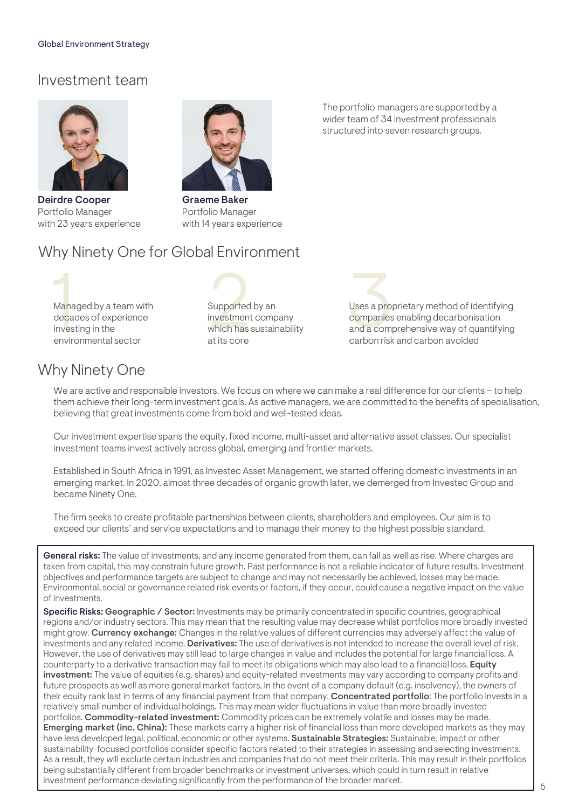### Investment team



Deirdre Cooper Portfolio Manager with 23 years experience



Graeme Baker Portfolio Manager with 14 years experience

### Why Ninety One for Global Environment

Managed by a team with<br>
decades of experience<br>
investing in the state of the system of the system of the system of the system of the system of the system risk<br>
experience of the system of the system risk and a component decades of experience investing in the environmental sector

Supported by an investment company which has sustainability at its core

The portfolio managers are supported by a wider team of 34 investment professionals structured into seven research groups.

> Uses a proprietary method of identifying companies enabling decarbonisation and a comprehensive way of quantifying carbon risk and carbon avoided

### Why Ninety One

We are active and responsible investors. We focus on where we can make a real difference for our clients – to help them achieve their long-term investment goals. As active managers, we are committed to the benefits of specialisation, believing that great investments come from bold and well-tested ideas.

Our investment expertise spans the equity, fixed income, multi-asset and alternative asset classes. Our specialist investment teams invest actively across global, emerging and frontier markets.

Established in South Africa in 1991, as Investec Asset Management, we started offering domestic investments in an emerging market. In 2020, almost three decades of organic growth later, we demerged from Investec Group and became Ninety One.

The firm seeks to create profitable partnerships between clients, shareholders and employees. Our aim is to exceed our clients' and service expectations and to manage their money to the highest possible standard.

General risks: The value of investments, and any income generated from them, can fall as well as rise. Where charges are taken from capital, this may constrain future growth. Past performance is not a reliable indicator of future results. Investment objectives and performance targets are subject to change and may not necessarily be achieved, losses may be made. Environmental, social or governance related risk events or factors, if they occur, could cause a negative impact on the value of investments.

Specific Risks: Geographic / Sector: Investments may be primarily concentrated in specific countries, geographical regions and/or industry sectors. This may mean that the resulting value may decrease whilst portfolios more broadly invested might grow. Currency exchange: Changes in the relative values of different currencies may adversely affect the value of investments and any related income. Derivatives: The use of derivatives is not intended to increase the overall level of risk. However, the use of derivatives may still lead to large changes in value and includes the potential for large financial loss. A counterparty to a derivative transaction may fail to meet its obligations which may also lead to a financial loss. Equity investment: The value of equities (e.g. shares) and equity-related investments may vary according to company profits and future prospects as well as more general market factors. In the event of a company default (e.g. insolvency), the owners of their equity rank last in terms of any financial payment from that company. Concentrated portfolio: The portfolio invests in a relatively small number of individual holdings. This may mean wider fluctuations in value than more broadly invested portfolios. Commodity-related investment: Commodity prices can be extremely volatile and losses may be made. Emerging market (inc. China): These markets carry a higher risk of financial loss than more developed markets as they may have less developed legal, political, economic or other systems. Sustainable Strategies: Sustainable, impact or other sustainability-focused portfolios consider specific factors related to their strategies in assessing and selecting investments. As a result, they will exclude certain industries and companies that do not meet their criteria. This may result in their portfolios being substantially different from broader benchmarks or investment universes, which could in turn result in relative investment performance deviating significantly from the performance of the broader market.